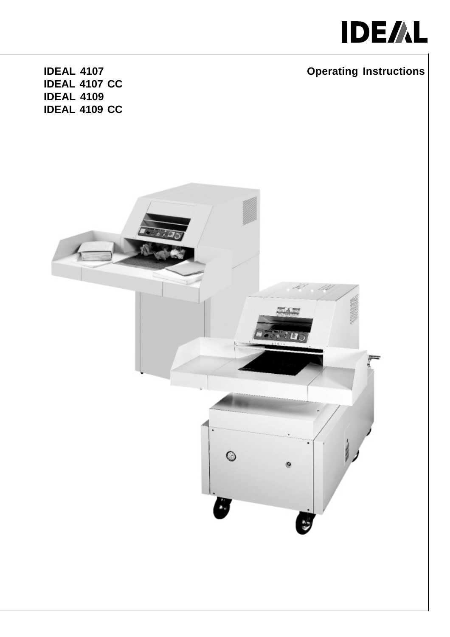# **IDE/AL**

## **Operating Instructions**

**IDEAL 4107 IDEAL 4107 CC IDEAL 4109 IDEAL 4109 CC**

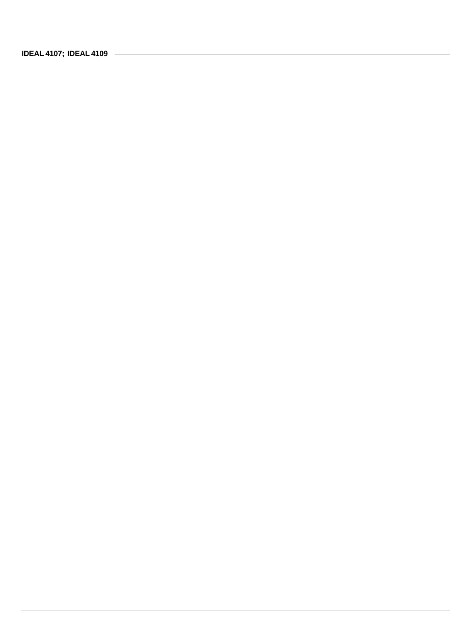**IDEAL 4107; IDEAL 4109 -**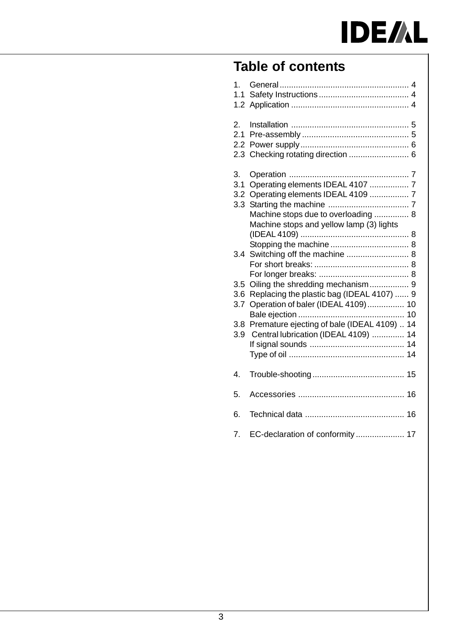# **IDE/AL**

# **Table of contents**

| 1 <sub>1</sub><br>1.1           |                                                                                                                                                                                                                      |
|---------------------------------|----------------------------------------------------------------------------------------------------------------------------------------------------------------------------------------------------------------------|
| 2.<br>2.1<br>2.2<br>2.3         |                                                                                                                                                                                                                      |
| 3.<br>3.1<br>3.2<br>3.3         | Operating elements IDEAL 4107  7<br>Operating elements IDEAL 4109  7<br>Machine stops due to overloading  8<br>Machine stops and yellow lamp (3) lights                                                              |
| 3.4                             |                                                                                                                                                                                                                      |
| 3.5<br>3.6<br>3.7<br>3.8<br>3.9 | Oiling the shredding mechanism 9<br>Replacing the plastic bag (IDEAL 4107)  9<br>Operation of baler (IDEAL 4109) 10<br>10<br>Premature ejecting of bale (IDEAL 4109)<br>14<br>Central lubrication (IDEAL 4109)<br>14 |
|                                 | 14<br>14                                                                                                                                                                                                             |
| 4.                              |                                                                                                                                                                                                                      |
| 5.                              |                                                                                                                                                                                                                      |
| 6.                              |                                                                                                                                                                                                                      |
| 7.                              | EC-declaration of conformity 17                                                                                                                                                                                      |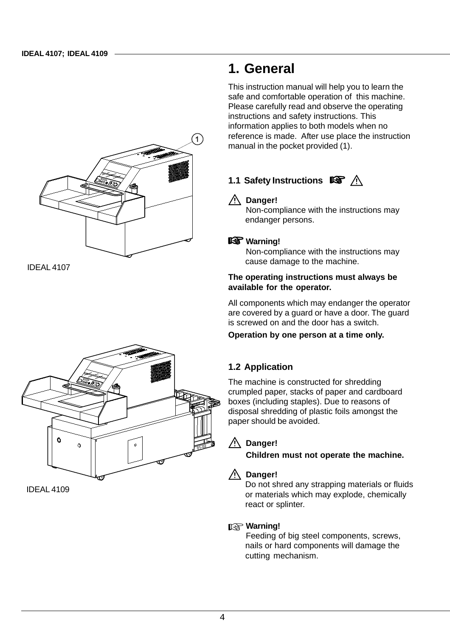

IDEAL 4107

# $\mathbf 0$  $\mathbf{o}$  $\circ$

IDEAL 4109

# **1. General**

This instruction manual will help you to learn the safe and comfortable operation of this machine. Please carefully read and observe the operating instructions and safety instructions. This information applies to both models when no reference is made. After use place the instruction manual in the pocket provided (1).

#### **1.1 Safety Instructions**  $\mathbb{R}$

#### **Danger!**

Non-compliance with the instructions may endanger persons.

#### **Warning!**

Non-compliance with the instructions may cause damage to the machine.

#### **The operating instructions must always be available for the operator.**

All components which may endanger the operator are covered by a guard or have a door. The guard is screwed on and the door has a switch.

**Operation by one person at a time only.**

#### **1.2 Application**

The machine is constructed for shredding crumpled paper, stacks of paper and cardboard boxes (including staples). Due to reasons of disposal shredding of plastic foils amongst the paper should be avoided.

#### **Danger!**

**Children must not operate the machine.**

#### **Danger!**

Do not shred any strapping materials or fluids or materials which may explode, chemically react or splinter.

#### **Warning!**

Feeding of big steel components, screws, nails or hard components will damage the cutting mechanism.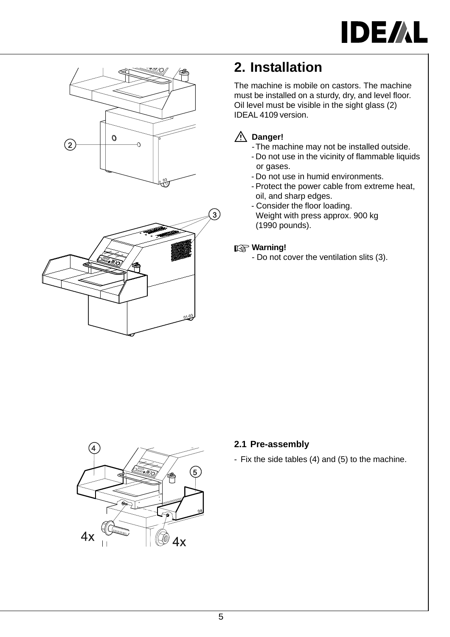





# **2. Installation**

The machine is mobile on castors. The machine must be installed on a sturdy, dry, and level floor. Oil level must be visible in the sight glass (2) IDEAL 4109 version.

#### **Danger!**

- -The machine may not be installed outside.
- Do not use in the vicinity of flammable liquids or gases.
- Do not use in humid environments.
- Protect the power cable from extreme heat, oil, and sharp edges.
- Consider the floor loading. Weight with press approx. 900 kg (1990 pounds).

#### **Warning!**

- Do not cover the ventilation slits (3).



#### **2.1 Pre-assembly**

- Fix the side tables (4) and (5) to the machine.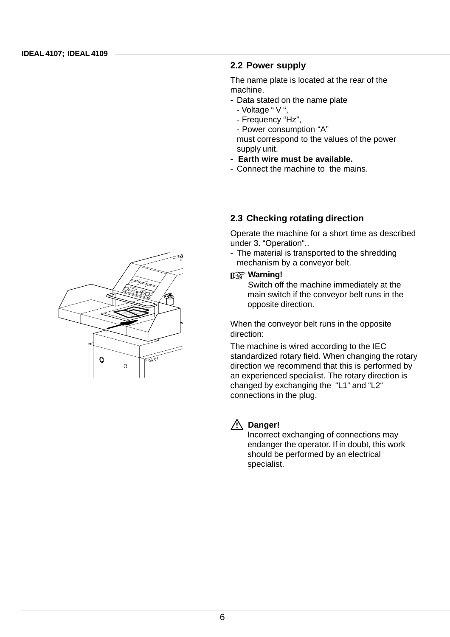#### **2.2 Power supply**

The name plate is located at the rear of the machine.

- Data stated on the name plate
	- Voltage " V ",
	- Frequency "Hz",
	- Power consumption "A"

must correspond to the values of the power supply unit.

- - **Earth wire must be available.**
- Connect the machine to the mains.

#### **2.3 Checking rotating direction**

Operate the machine for a short time as described under 3. "Operation"..

- The material is transported to the shredding mechanism by a conveyor belt.

#### **Warning!**

Switch off the machine immediately at the main switch if the conveyor belt runs in the opposite direction.

When the conveyor belt runs in the opposite direction:

The machine is wired according to the IEC standardized rotary field. When changing the rotary direction we recommend that this is performed by an experienced specialist. The rotary direction is changed by exchanging the "L1" and "L2" connections in the plug.



#### **Danger!**

Incorrect exchanging of connections may endanger the operator. If in doubt, this work should be performed by an electrical specialist.

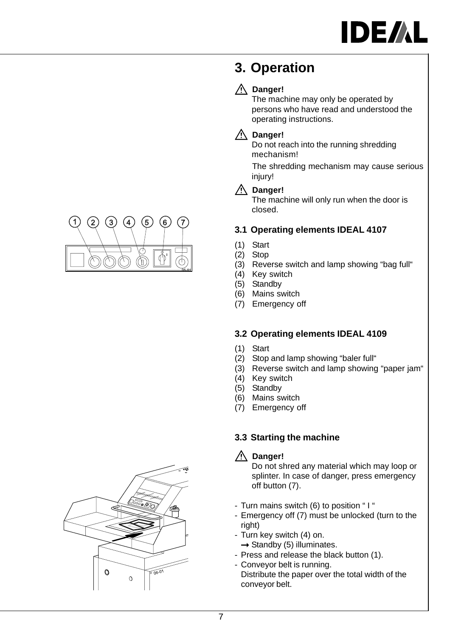## **3. Operation**

#### **Danger!**

The machine may only be operated by persons who have read and understood the operating instructions.

#### **Danger!**

Do not reach into the running shredding mechanism!

The shredding mechanism may cause serious injury!

#### **Danger!**

The machine will only run when the door is closed.

#### **3.1 Operating elements IDEAL 4107**

- (1) Start
- (2) Stop
- (3) Reverse switch and lamp showing "bag full"
- (4) Key switch
- (5) Standby
- (6) Mains switch
- (7) Emergency off

#### **3.2 Operating elements IDEAL 4109**

- (1) Start
- (2) Stop and lamp showing "baler full"
- (3) Reverse switch and lamp showing "paper jam"
- (4) Key switch
- (5) Standby
- (6) Mains switch
- (7) Emergency off

#### **3.3 Starting the machine**

#### **Danger!**

Do not shred any material which may loop or splinter. In case of danger, press emergency off button (7).

- Turn mains switch (6) to position " I "
- Emergency off (7) must be unlocked (turn to the right)
- Turn key switch (4) on.  $\rightarrow$  Standby (5) illuminates.
- Press and release the black button (1).
- Conveyor belt is running.
- Distribute the paper over the total width of the conveyor belt.



 $\overline{4}$ 

(5

6

 $\mathbf{3}$ 

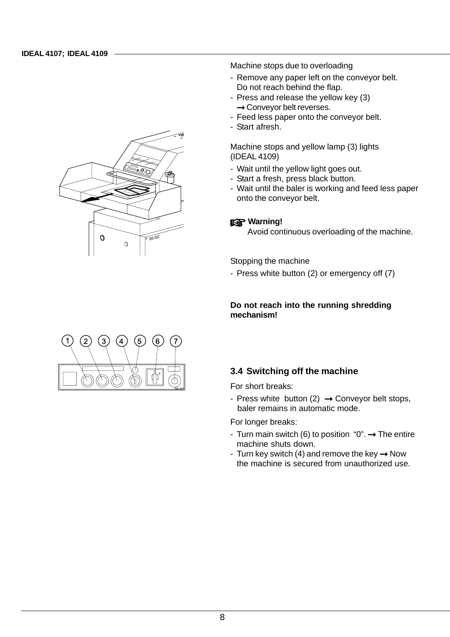

Machine stops due to overloading

- Remove any paper left on the conveyor belt. Do not reach behind the flap.
- Press and release the yellow key (3)  $\rightarrow$  Conveyor belt reverses.
- Feed less paper onto the conveyor belt.
- Start afresh.

Machine stops and yellow lamp (3) lights (IDEAL 4109)

- Wait until the yellow light goes out.
- Start a fresh, press black button.
- Wait until the baler is working and feed less paper onto the conveyor belt.

#### **Warning!**

Avoid continuous overloading of the machine.

Stopping the machine

- Press white button (2) or emergency off (7)

#### **Do not reach into the running shredding mechanism!**



#### **3.4 Switching off the machine**

For short breaks:

- Press white button  $(2) \rightarrow$  Conveyor belt stops, baler remains in automatic mode.

For longer breaks:

- Turn main switch (6) to position "0".  $\rightarrow$  The entire machine shuts down.
- Turn key switch (4) and remove the key  $\rightarrow$  Now the machine is secured from unauthorized use.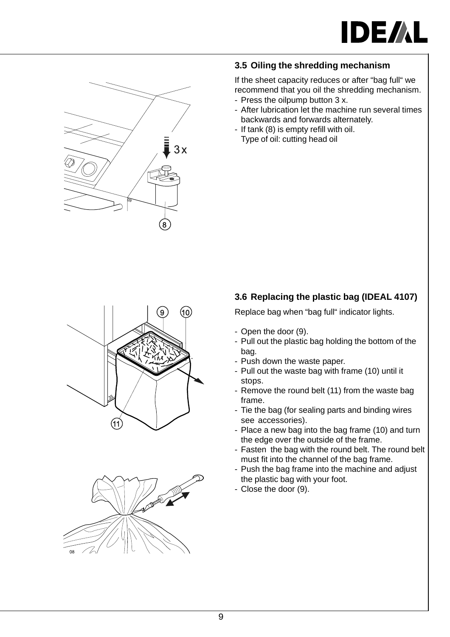



#### **3.5 Oiling the shredding mechanism**

If the sheet capacity reduces or after "bag full" we recommend that you oil the shredding mechanism.

- Press the oilpump button 3 x.
- After lubrication let the machine run several times backwards and forwards alternately.
- If tank (8) is empty refill with oil. Type of oil: cutting head oil

(၅  $(10)$ 

#### **3.6 Replacing the plastic bag (IDEAL 4107)**

Replace bag when "bag full" indicator lights.

- Open the door (9).
- Pull out the plastic bag holding the bottom of the bag.
- Push down the waste paper.
- Pull out the waste bag with frame (10) until it stops.
- Remove the round belt (11) from the waste bag frame.
- Tie the bag (for sealing parts and binding wires see accessories).
- Place a new bag into the bag frame (10) and turn the edge over the outside of the frame.
- Fasten the bag with the round belt. The round belt must fit into the channel of the bag frame.
- Push the bag frame into the machine and adjust the plastic bag with your foot.
- Close the door (9).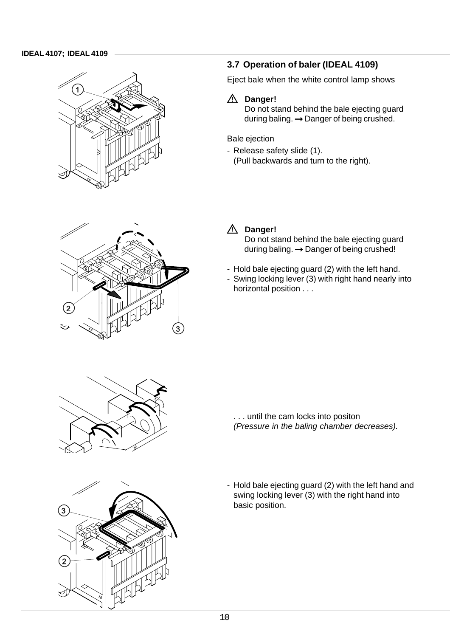

#### **3.7 Operation of baler (IDEAL 4109)**

Eject bale when the white control lamp shows

#### **Danger!**

Do not stand behind the bale ejecting guard during baling.  $\rightarrow$  Danger of being crushed.

Bale ejection

- Release safety slide (1). (Pull backwards and turn to the right).



#### **Danger!**

Do not stand behind the bale ejecting guard during baling.  $\rightarrow$  Danger of being crushed!

- Hold bale ejecting guard (2) with the left hand.
- Swing locking lever (3) with right hand nearly into horizontal position . . .



. . . until the cam locks into positon *(Pressure in the baling chamber decreases).*

- Hold bale ejecting guard (2) with the left hand and swing locking lever (3) with the right hand into basic position.

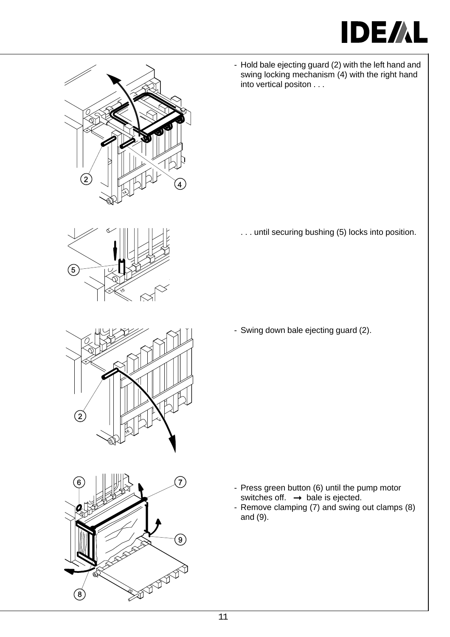# **IDEAL**

- Hold bale ejecting guard (2) with the left hand and swing locking mechanism (4) with the right hand into vertical positon . . .





. . . until securing bushing (5) locks into position.



- Swing down bale ejecting guard (2).

- Press green button (6) until the pump motor switches off. → bale is ejected.
- Remove clamping (7) and swing out clamps (8) and (9).

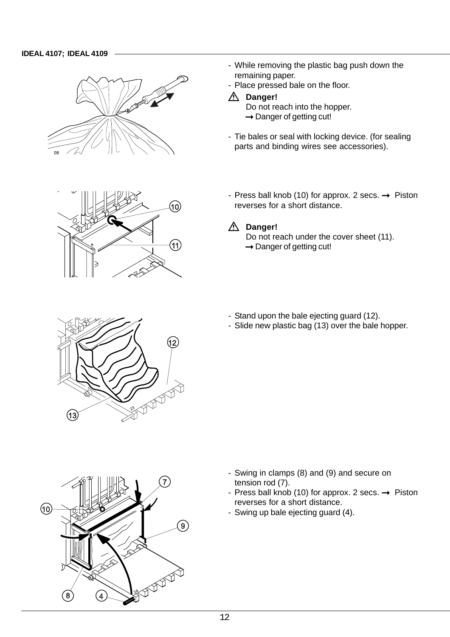

- While removing the plastic bag push down the remaining paper.
- Place pressed bale on the floor.

#### **Danger!**

Do not reach into the hopper.  $\rightarrow$  Danger of getting cut!

- Tie bales or seal with locking device. (for sealing parts and binding wires see accessories).
- Press ball knob (10) for approx. 2 secs.  $\rightarrow$  Piston reverses for a short distance.



**Danger!**

- Do not reach under the cover sheet (11).  $\rightarrow$  Danger of getting cut!
- Stand upon the bale ejecting guard (12).
- Slide new plastic bag (13) over the bale hopper.



- Swing in clamps (8) and (9) and secure on tension rod (7).
- Press ball knob (10) for approx. 2 secs.  $\rightarrow$  Piston reverses for a short distance.
- Swing up bale ejecting guard (4).

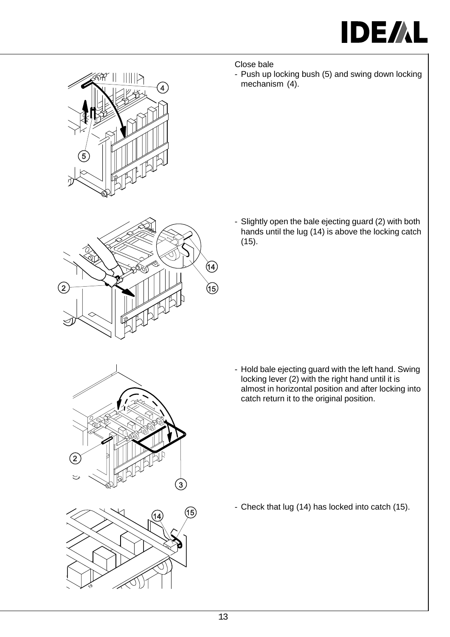# **IDEAL**





- Slightly open the bale ejecting guard (2) with both hands until the lug (14) is above the locking catch (15).

- Push up locking bush (5) and swing down locking

Close bale

mechanism (4).



- Hold bale ejecting guard with the left hand. Swing locking lever (2) with the right hand until it is almost in horizontal position and after locking into catch return it to the original position.

- Check that lug (14) has locked into catch (15).

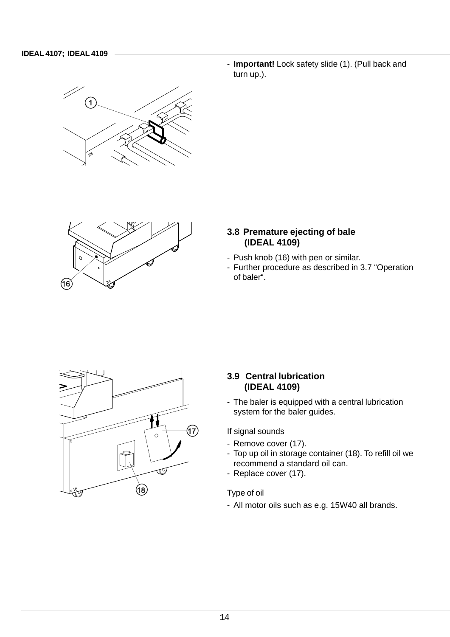

- **Important!** Lock safety slide (1). (Pull back and turn up.).



#### **3.8 Premature ejecting of bale (IDEAL 4109)**

- Push knob (16) with pen or similar.
- Further procedure as described in 3.7 "Operation of baler".



#### **3.9 Central lubrication (IDEAL 4109)**

- The baler is equipped with a central lubrication system for the baler guides.

#### If signal sounds

- Remove cover (17).
- Top up oil in storage container (18). To refill oil we recommend a standard oil can.
- Replace cover (17).

#### Type of oil

- All motor oils such as e.g. 15W40 all brands.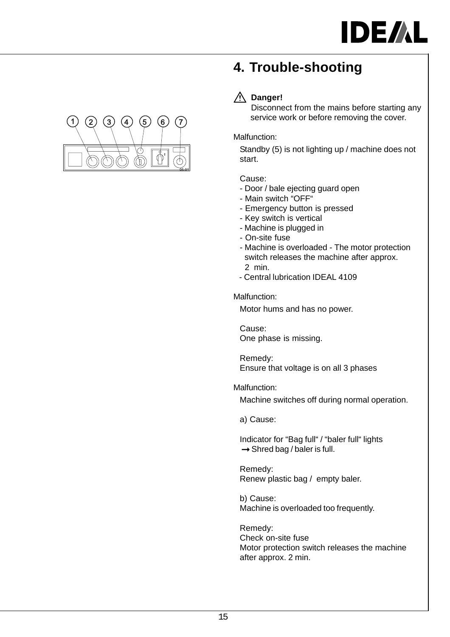## **4. Trouble-shooting**

#### **Danger!**

Disconnect from the mains before starting any service work or before removing the cover.

#### Malfunction:

Standby (5) is not lighting up / machine does not start.

#### Cause:

- Door / bale ejecting guard open
- Main switch "OFF"
- Emergency button is pressed
- Key switch is vertical
- Machine is plugged in
- On-site fuse
- Machine is overloaded The motor protection switch releases the machine after approx. 2 min.
- Central lubrication IDEAL 4109

#### Malfunction:

Motor hums and has no power.

Cause: One phase is missing.

Remedy: Ensure that voltage is on all 3 phases

#### Malfunction:

Machine switches off during normal operation.

a) Cause:

Indicator for "Bag full" / "baler full" lights  $\rightarrow$  Shred bag / baler is full.

Remedy: Renew plastic bag / empty baler.

b) Cause: Machine is overloaded too frequently.

Remedy: Check on-site fuse Motor protection switch releases the machine after approx. 2 min.

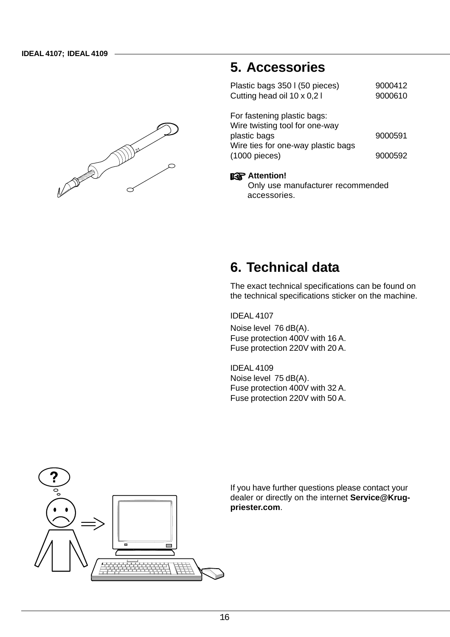

## **5. Accessories**

| Plastic bags 350 I (50 pieces)                                | 9000412 |
|---------------------------------------------------------------|---------|
| Cutting head oil 10 x 0,2 l                                   | 9000610 |
| For fastening plastic bags:<br>Wire twisting tool for one-way |         |
| plastic bags                                                  | 9000591 |
| Wire ties for one-way plastic bags                            |         |
| $(1000$ pieces)                                               | 9000592 |
|                                                               |         |

**RS** Attention!

Only use manufacturer recommended accessories.

## **6. Technical data**

The exact technical specifications can be found on the technical specifications sticker on the machine.

IDEAL 4107

Noise level 76 dB(A). Fuse protection 400V with 16 A. Fuse protection 220V with 20 A.

IDEAL 4109 Noise level 75 dB(A). Fuse protection 400V with 32 A. Fuse protection 220V with 50 A.



If you have further questions please contact your dealer or directly on the internet **Service@Krugpriester.com**.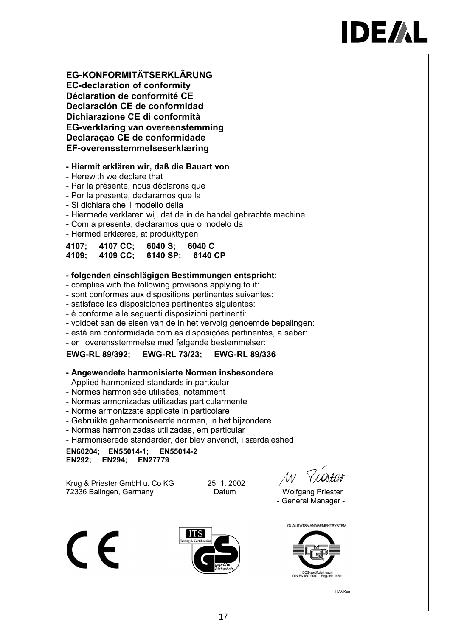

**EG-KONFORMITÄTSERKLÄRUNG EC-declaration of conformity Déclaration de conformité CE Declaración CE de conformidad Dichiarazione CE di conformità EG-verklaring van overeenstemming Declaraçao CE de conformidade EF-overensstemmelseserklæring** 

#### **- Hiermit erklären wir, daß die Bauart von**

- Herewith we declare that
- Par la présente, nous déclarons que
- Por la presente, declaramos que la
- Si dichiara che il modello della
- Hiermede verklaren wij, dat de in de handel gebrachte machine
- Com a presente, declaramos que o modelo da
- Hermed erklæres, at produkttypen

| 4107; | 4107 CC: | 6040 S:    | 6040 C  |
|-------|----------|------------|---------|
| 4109; | 4109 CC; | $6140$ SP; | 6140 CP |

#### **- folgenden einschlägigen Bestimmungen entspricht:**

- complies with the following provisons applying to it:
- sont conformes aux dispositions pertinentes suivantes:
- satisface las disposiciones pertinentes siguientes:
- è conforme alle seguenti disposizioni pertinenti:
- voldoet aan de eisen van de in het vervolg genoemde bepalingen:
- está em conformidade com as disposições pertinentes, a saber:
- er i overensstemmelse med følgende bestemmelser:

#### **EWG-RL 89/392; EWG-RL 73/23; EWG-RL 89/336**

#### **- Angewendete harmonisierte Normen insbesondere**

- Applied harmonized standards in particular
- Normes harmonisée utilisées, notamment
- Normas armonizadas utilizadas particularmente
- Norme armonizzate applicate in particolare
- Gebruikte geharmoniseerde normen, in het bijzondere
- Normas harmonizadas utilizadas, em particular
- Harmoniserede standarder, der blev anvendt, i særdaleshed

**EN60204; EN55014-1; EN55014-2 EN292; EN294; EN27779** 

Krug & Priester GmbH u. Co KG 25. 1. 2002 72336 Balingen, Germany Datum Wolfgang Priester

W. Pierroi

- General Manager -

 $\mathcal{C} \in$ 



**QUALITÄTSMANAGEMENTSYSTEM** 



11AVKon